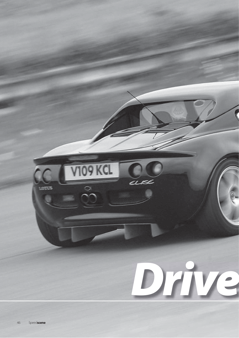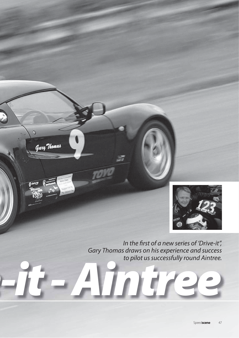

In the first of a new series of 'Drive-it", Gary Thomas draws on his experience and success to pilot us successfully round Aintree. *e-it - Aintree*

ø

Gary Thomas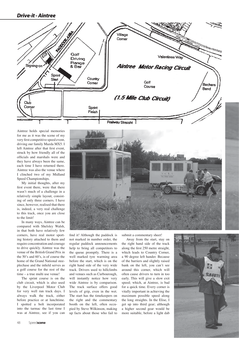

Aintree holds special memories for me as it was the scene of my very first competitive speed event, driving our family Mazda MX5. I left Aintree after that first event, struck by how friendly all of the officials and marshals were and they have always been the same, each time I have returned there. Aintree was also the venue where I clinched two of my Midland Speed Championships.

My initial thoughts, after my first event there, were that there wasn't much of a challenge in a relatively simple layout, consisting of only three corners. I have since, however, realised that there is, indeed, a very real challenge to this track, once you are close to the limit!

In many ways, Aintree can be compared with Shelsley Walsh, in that both have relatively few corners, have real motor sporting history attached to them and require concentration and courage to drive quickly. Aintree was the venue of the British Grand Prix in the 50's and 60's, is of course the home of the Grand National steeplechase and the infield serves as a golf course for the rest of the time – a true multi use venue!

The sprint course is on the club circuit, which is also used by the Liverpool Motor Club for very well run track days. I always walk the track, either before practice or at lunchtime. I spotted a bolt incorporated into the tarmac the last time I was at Aintree, see if you can



find it! Although the paddock is not marked in number order, the regular paddock announcements help to bring all competitors to the queue promptly. There is a well marked tyre warming area before the start, which is on the right hand side of the very wide track. Drivers used to hillclimbs and venues such as Curbourough, will instantly notice how very wide Aintree is by comparison. The track surface offers good levels of grip, even in the wet. The start has the timekeepers on the right and the commentary booth on the left, often occupied by Steve Wilkinson, making up facts about those who fail to

submit a commentary sheet!

Away from the start, stay on the right hand side of the track along the first 250 metre straight, which leads to Country Corner, a 90 degree left hander. Because of the barriers and slightly raised bank on the left, you can't see around this corner, which will often cause drivers to turn in too early. This will give a slow exit speed; which, at Aintree, is bad for a quick time. Every corner is vitally important in achieving the maximum possible speed along the long straights. In the Elise, I get up into third gear; although a higher second gear would be more suitable, before a light dab

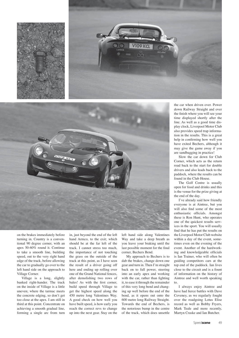





on the brakes immediately before turning in. Country is a conventional 90 degree corner, with an apex 50-60% round it. Continue to take a smooth line, building speed, out to the very right hand edge of the track, before allowing the car to gradually go over to the left hand side on the approach to Village Corner.

Village is a long, slightly banked right-hander. The track on the inside of Village is a little uneven; where the tarmac meets the concrete edging, so don't get too close at the apex. I am still in third at this point. Concentrate on achieving a smooth gradual line, forming a single arc from turn in, just beyond the end of the left hand Armco, to the exit; which should be at the far left of the track. I cannot stress too much, the importance of not touching the grass on the outside of the track at this point, as I have seen the result of a driver going off here and ending up rolling over one of the Grand National fences, after demolishing two rows of bales! As with the first corner, build speed through Village to get the highest speed along the 450 metre long Valentines Way. A good check on how well you have built speed, is how early you reach the correct revs to change up into the next gear. Stay on the

left hand side along Valentines Way and take a deep breath as you leave your braking until the last possible moment for the final corner, Bechers Bend.

My approach to Bechers is to dab the brakes, change down one gear and turn in. Then I'm straight back on to full power, steering into an early apex and working with the car, rather than fighting it, to ease it through the remainder of this very long bend and changing up well before the end of the bend, as it opens out onto the 600 metre long Railway Straight. Towards the end of Bechers, is the notorious bump in the centre of the track, which does unsettle the car when driven over. Power down Railway Straight and over the finish where you will see your time displayed shortly after the line. As well as a good time display clock, Liverpool Motor Club also provides speed trap information in the results. This is a great help in confirming how well you have exited Bechers, although it may give the game away if you are sandbagging in practice!

Slow the car down for Club Corner, which acts as the return road back to the start for double drivers and also leads back to the paddock, where the results can be found in the Club House.

The Golf Centre is usually open for food and drinks and this is the venue for the prize giving at the end of the day.

I've already said how friendly everyone is at Aintree, but you will also find some of the most enthusiastic officials. Amongst these is Ron Hunt, who operates one of the quickest results services in the sport. You will usually find that he has put the results on the Liverpool Motor Club website within a day of the event, sometimes even on the evening of the event. Another of the hardworking and knowledgeable officials is Ian Trainer, who will often be guiding competitors cars at the top end of the paddock. Ian lives close to the circuit and is a fount of information on the history of Aintree and well worth speaking to.

I always enjoy Aintree and have had fierce battles with Dave Coveney, as we regularly fought over the roadgoing Lotus Elise record as well as Bobby Fryers, Mark Teale and more recently, Martyn Craske and Ian Butcher.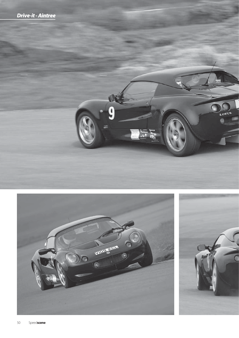